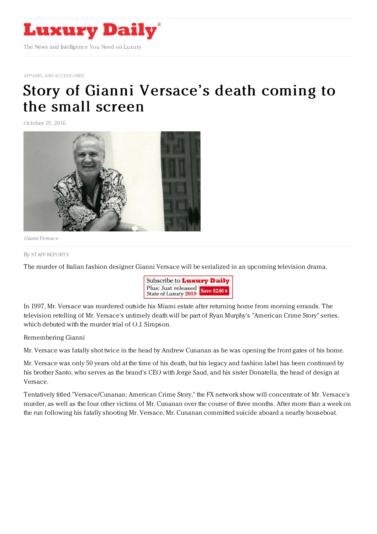

APPAREL AND [ACCESSORIES](https://www.luxurydaily.com/category/sectors/apparel-and-accessories/)

## Story of Gianni [Versace's](https://www.luxurydaily.com/story-of-gianni-versaces-death-coming-to-the-small-screen/) death coming to the small screen

October 19, 2016



Gianni Versace

By STAFF [REPORT](file:///author/staff-reports) S

The murder of Italian fashion designer Gianni Versace will be serialized in an upcoming television drama.



In 1997, Mr. Versace was murdered outside his Miami estate after returning home from morning errands. The television retelling of Mr. Versace's untimely death will be part of Ryan Murphy's "American Crime Story" series, which debuted with the murder trial of O.J. Simpson.

Remembering Gianni

Mr. Versace was fatally shot twice in the head by Andrew Cunanan as he was opening the front gates of his home.

Mr. Versace was only 50 years old at the time of his death, but his legacy and fashion label has been continued by his brother Santo, who serves as the brand's CEO with Jorge Saud, and his sister Donatella, the head of design at Versace.

Tentatively titled "Versace/Cunanan: American Crime Story," the FX network show will concentrate of Mr. Versace's murder, as well as the four other victims of Mr. Cunanan over the course of three months. After more than a week on the run following his fatally shooting Mr. Versace, Mr. Cunanan committed suicide aboard a nearby houseboat.